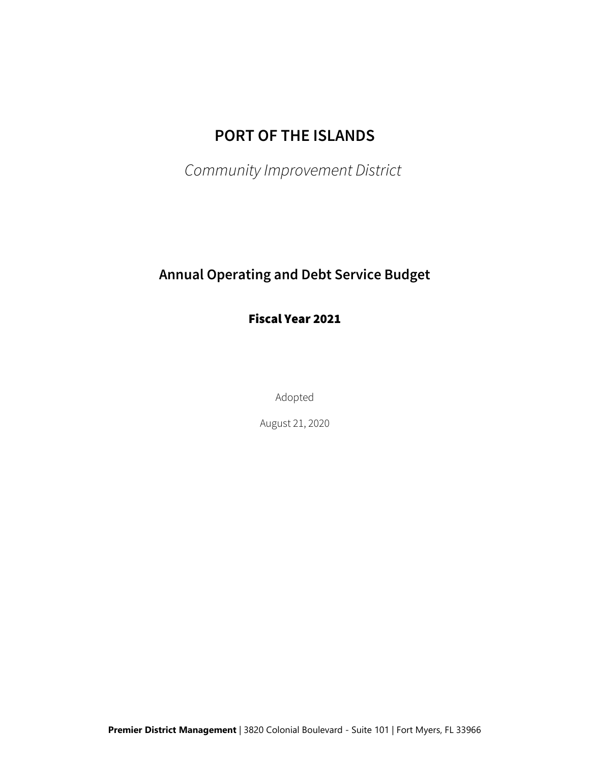# **PORT OF THE ISLANDS**

*Community Improvement District*

# **Annual Operating and Debt Service Budget**

Fiscal Year 2021

Adopted

August 21, 2020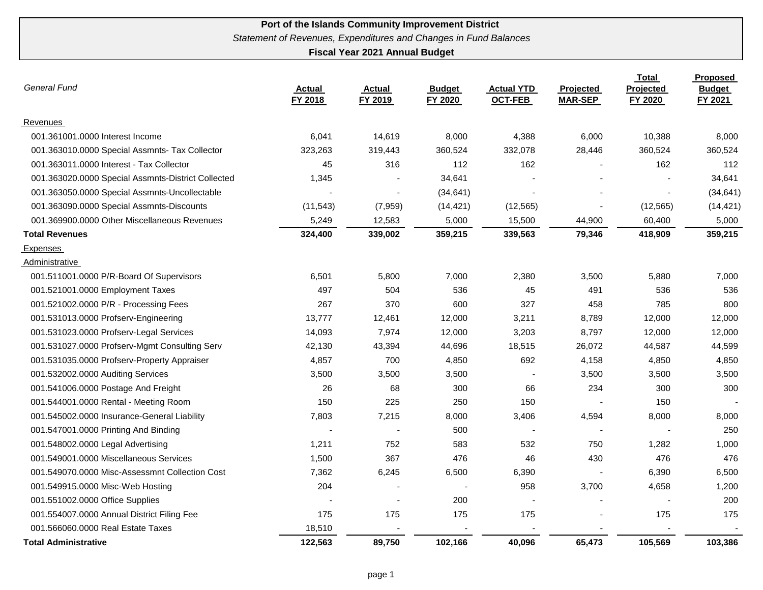| <b>General Fund</b>                                | <b>Actual</b><br>FY 2018 | <b>Actual</b><br>FY 2019 | <b>Budget</b><br><b>FY 2020</b> | <b>Actual YTD</b><br><b>OCT-FEB</b> | Projected<br><b>MAR-SEP</b> | <b>Total</b><br>Projected<br>FY 2020 | <b>Proposed</b><br><b>Budget</b><br>FY 2021 |
|----------------------------------------------------|--------------------------|--------------------------|---------------------------------|-------------------------------------|-----------------------------|--------------------------------------|---------------------------------------------|
| Revenues                                           |                          |                          |                                 |                                     |                             |                                      |                                             |
| 001.361001.0000 Interest Income                    | 6,041                    | 14,619                   | 8,000                           | 4,388                               | 6,000                       | 10,388                               | 8,000                                       |
| 001.363010.0000 Special Assmnts- Tax Collector     | 323,263                  | 319,443                  | 360,524                         | 332,078                             | 28,446                      | 360,524                              | 360,524                                     |
| 001.363011.0000 Interest - Tax Collector           | 45                       | 316                      | 112                             | 162                                 |                             | 162                                  | 112                                         |
| 001.363020.0000 Special Assmnts-District Collected | 1,345                    |                          | 34,641                          |                                     |                             |                                      | 34,641                                      |
| 001.363050.0000 Special Assmnts-Uncollectable      |                          |                          | (34, 641)                       |                                     |                             |                                      | (34, 641)                                   |
| 001.363090.0000 Special Assmnts-Discounts          | (11, 543)                | (7,959)                  | (14, 421)                       | (12, 565)                           |                             | (12, 565)                            | (14, 421)                                   |
| 001.369900.0000 Other Miscellaneous Revenues       | 5,249                    | 12,583                   | 5,000                           | 15,500                              | 44,900                      | 60,400                               | 5,000                                       |
| <b>Total Revenues</b>                              | 324,400                  | 339,002                  | 359,215                         | 339,563                             | 79,346                      | 418,909                              | 359,215                                     |
| Expenses                                           |                          |                          |                                 |                                     |                             |                                      |                                             |
| Administrative                                     |                          |                          |                                 |                                     |                             |                                      |                                             |
| 001.511001.0000 P/R-Board Of Supervisors           | 6,501                    | 5,800                    | 7,000                           | 2,380                               | 3,500                       | 5,880                                | 7,000                                       |
| 001.521001.0000 Employment Taxes                   | 497                      | 504                      | 536                             | 45                                  | 491                         | 536                                  | 536                                         |
| 001.521002.0000 P/R - Processing Fees              | 267                      | 370                      | 600                             | 327                                 | 458                         | 785                                  | 800                                         |
| 001.531013.0000 Profserv-Engineering               | 13,777                   | 12,461                   | 12,000                          | 3,211                               | 8,789                       | 12,000                               | 12,000                                      |
| 001.531023.0000 Profserv-Legal Services            | 14,093                   | 7,974                    | 12,000                          | 3,203                               | 8,797                       | 12,000                               | 12,000                                      |
| 001.531027.0000 Profserv-Mgmt Consulting Serv      | 42,130                   | 43,394                   | 44,696                          | 18,515                              | 26,072                      | 44,587                               | 44,599                                      |
| 001.531035.0000 Profserv-Property Appraiser        | 4,857                    | 700                      | 4,850                           | 692                                 | 4,158                       | 4,850                                | 4,850                                       |
| 001.532002.0000 Auditing Services                  | 3,500                    | 3,500                    | 3,500                           |                                     | 3,500                       | 3,500                                | 3,500                                       |
| 001.541006.0000 Postage And Freight                | 26                       | 68                       | 300                             | 66                                  | 234                         | 300                                  | 300                                         |
| 001.544001.0000 Rental - Meeting Room              | 150                      | 225                      | 250                             | 150                                 |                             | 150                                  |                                             |
| 001.545002.0000 Insurance-General Liability        | 7,803                    | 7,215                    | 8,000                           | 3,406                               | 4,594                       | 8,000                                | 8,000                                       |
| 001.547001.0000 Printing And Binding               |                          |                          | 500                             |                                     |                             |                                      | 250                                         |
| 001.548002.0000 Legal Advertising                  | 1,211                    | 752                      | 583                             | 532                                 | 750                         | 1,282                                | 1,000                                       |
| 001.549001.0000 Miscellaneous Services             | 1,500                    | 367                      | 476                             | 46                                  | 430                         | 476                                  | 476                                         |
| 001.549070.0000 Misc-Assessmnt Collection Cost     | 7,362                    | 6,245                    | 6,500                           | 6,390                               |                             | 6,390                                | 6,500                                       |
| 001.549915.0000 Misc-Web Hosting                   | 204                      | $\blacksquare$           | $\overline{\phantom{a}}$        | 958                                 | 3,700                       | 4,658                                | 1,200                                       |
| 001.551002.0000 Office Supplies                    |                          |                          | 200                             | ÷,                                  |                             |                                      | 200                                         |
| 001.554007.0000 Annual District Filing Fee         | 175                      | 175                      | 175                             | 175                                 |                             | 175                                  | 175                                         |
| 001.566060.0000 Real Estate Taxes                  | 18,510                   |                          |                                 |                                     |                             |                                      |                                             |
| <b>Total Administrative</b>                        | 122,563                  | 89,750                   | 102,166                         | 40,096                              | 65,473                      | 105,569                              | 103,386                                     |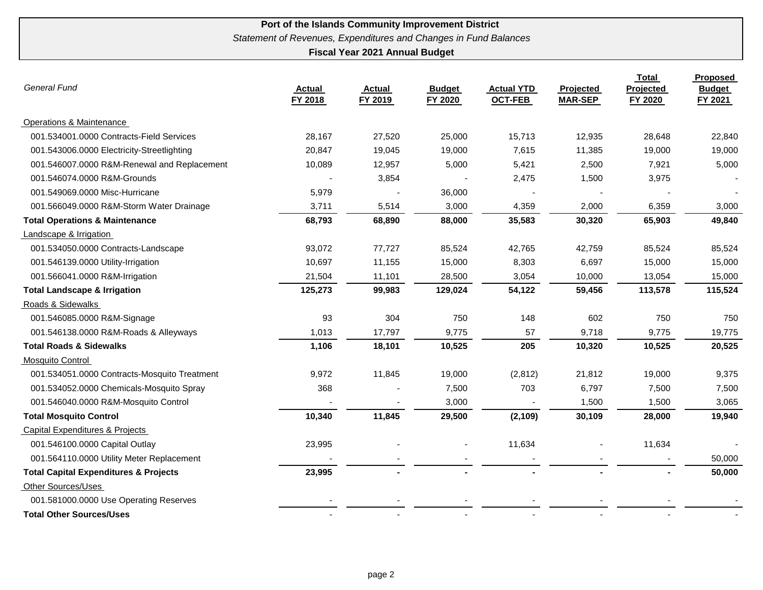| <b>General Fund</b>                              | <b>Actual</b><br>FY 2018 | <b>Actual</b><br>FY 2019 | <b>Budget</b><br>FY 2020 | <b>Actual YTD</b><br><b>OCT-FEB</b> | Projected<br><b>MAR-SEP</b> | <b>Total</b><br>Projected<br>FY 2020 | Proposed<br><b>Budget</b><br>FY 2021 |
|--------------------------------------------------|--------------------------|--------------------------|--------------------------|-------------------------------------|-----------------------------|--------------------------------------|--------------------------------------|
| <b>Operations &amp; Maintenance</b>              |                          |                          |                          |                                     |                             |                                      |                                      |
| 001.534001.0000 Contracts-Field Services         | 28,167                   | 27,520                   | 25,000                   | 15,713                              | 12,935                      | 28,648                               | 22,840                               |
| 001.543006.0000 Electricity-Streetlighting       | 20,847                   | 19,045                   | 19,000                   | 7,615                               | 11,385                      | 19,000                               | 19,000                               |
| 001.546007.0000 R&M-Renewal and Replacement      | 10,089                   | 12,957                   | 5,000                    | 5,421                               | 2,500                       | 7,921                                | 5,000                                |
| 001.546074.0000 R&M-Grounds                      |                          | 3,854                    |                          | 2,475                               | 1,500                       | 3,975                                |                                      |
| 001.549069.0000 Misc-Hurricane                   | 5,979                    |                          | 36,000                   |                                     |                             |                                      |                                      |
| 001.566049.0000 R&M-Storm Water Drainage         | 3,711                    | 5,514                    | 3,000                    | 4,359                               | 2,000                       | 6,359                                | 3,000                                |
| <b>Total Operations &amp; Maintenance</b>        | 68,793                   | 68,890                   | 88,000                   | 35,583                              | 30,320                      | 65,903                               | 49,840                               |
| Landscape & Irrigation                           |                          |                          |                          |                                     |                             |                                      |                                      |
| 001.534050.0000 Contracts-Landscape              | 93,072                   | 77,727                   | 85,524                   | 42,765                              | 42,759                      | 85,524                               | 85,524                               |
| 001.546139.0000 Utility-Irrigation               | 10,697                   | 11,155                   | 15,000                   | 8,303                               | 6,697                       | 15,000                               | 15,000                               |
| 001.566041.0000 R&M-Irrigation                   | 21,504                   | 11,101                   | 28,500                   | 3,054                               | 10,000                      | 13,054                               | 15,000                               |
| <b>Total Landscape &amp; Irrigation</b>          | 125,273                  | 99,983                   | 129,024                  | 54,122                              | 59,456                      | 113,578                              | 115,524                              |
| Roads & Sidewalks                                |                          |                          |                          |                                     |                             |                                      |                                      |
| 001.546085.0000 R&M-Signage                      | 93                       | 304                      | 750                      | 148                                 | 602                         | 750                                  | 750                                  |
| 001.546138.0000 R&M-Roads & Alleyways            | 1,013                    | 17,797                   | 9,775                    | 57                                  | 9,718                       | 9,775                                | 19,775                               |
| <b>Total Roads &amp; Sidewalks</b>               | 1,106                    | 18,101                   | 10,525                   | 205                                 | 10,320                      | 10,525                               | 20,525                               |
| Mosquito Control                                 |                          |                          |                          |                                     |                             |                                      |                                      |
| 001.534051.0000 Contracts-Mosquito Treatment     | 9,972                    | 11,845                   | 19,000                   | (2, 812)                            | 21,812                      | 19,000                               | 9,375                                |
| 001.534052.0000 Chemicals-Mosquito Spray         | 368                      |                          | 7,500                    | 703                                 | 6,797                       | 7,500                                | 7,500                                |
| 001.546040.0000 R&M-Mosquito Control             |                          |                          | 3,000                    |                                     | 1,500                       | 1,500                                | 3,065                                |
| <b>Total Mosquito Control</b>                    | 10,340                   | 11,845                   | 29,500                   | (2, 109)                            | 30,109                      | 28,000                               | 19,940                               |
| <b>Capital Expenditures &amp; Projects</b>       |                          |                          |                          |                                     |                             |                                      |                                      |
| 001.546100.0000 Capital Outlay                   | 23,995                   |                          |                          | 11,634                              |                             | 11,634                               |                                      |
| 001.564110.0000 Utility Meter Replacement        |                          |                          |                          |                                     |                             |                                      | 50,000                               |
| <b>Total Capital Expenditures &amp; Projects</b> | 23,995                   |                          |                          |                                     |                             |                                      | 50,000                               |
| <b>Other Sources/Uses</b>                        |                          |                          |                          |                                     |                             |                                      |                                      |
| 001.581000.0000 Use Operating Reserves           |                          |                          |                          |                                     |                             |                                      |                                      |
| <b>Total Other Sources/Uses</b>                  |                          |                          |                          |                                     |                             |                                      |                                      |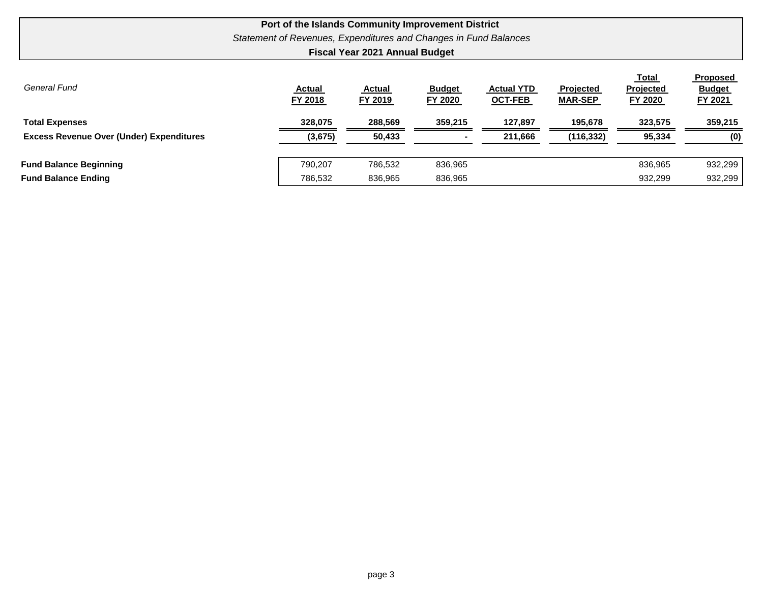|                                                             | Statement of Revenues, Expenditures and Changes in Fund Balances | <b>Fiscal Year 2021 Annual Budget</b> | Port of the Islands Community Improvement District |                                     |                             |                               |                                                    |
|-------------------------------------------------------------|------------------------------------------------------------------|---------------------------------------|----------------------------------------------------|-------------------------------------|-----------------------------|-------------------------------|----------------------------------------------------|
| General Fund                                                | <b>Actual</b><br>FY 2018                                         | <b>Actual</b><br>FY 2019              | <b>Budget</b><br>FY 2020                           | <b>Actual YTD</b><br><b>OCT-FEB</b> | Projected<br><b>MAR-SEP</b> | Total<br>Projected<br>FY 2020 | <b>Proposed</b><br><b>Budget</b><br><b>FY 2021</b> |
| <b>Total Expenses</b>                                       | 328,075                                                          | 288,569                               | 359,215                                            | 127,897                             | 195,678                     | 323,575                       | 359,215                                            |
| <b>Excess Revenue Over (Under) Expenditures</b>             | (3,675)                                                          | 50,433                                |                                                    | 211,666                             | (116, 332)                  | 95,334                        | (0)                                                |
| <b>Fund Balance Beginning</b><br><b>Fund Balance Ending</b> | 790.207<br>786.532                                               | 786,532<br>836,965                    | 836,965<br>836,965                                 |                                     |                             | 836,965<br>932,299            | 932,299<br>932,299                                 |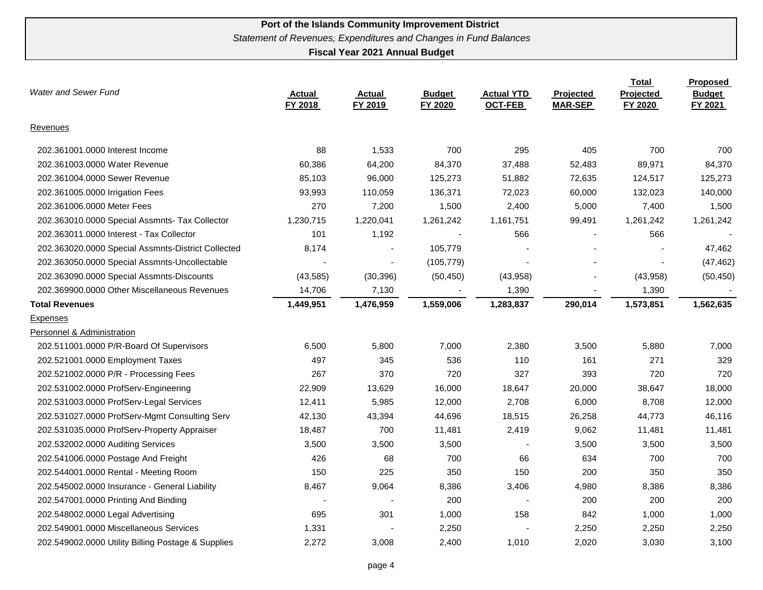| Water and Sewer Fund                               | <b>Actual</b><br>FY 2018 | <b>Actual</b><br>FY 2019 | <b>Budget</b><br>FY 2020 | <b>Actual YTD</b><br><b>OCT-FEB</b> | <b>Projected</b><br><b>MAR-SEP</b> | Total<br>Projected<br>FY 2020 | <b>Proposed</b><br><b>Budget</b><br>FY 2021 |
|----------------------------------------------------|--------------------------|--------------------------|--------------------------|-------------------------------------|------------------------------------|-------------------------------|---------------------------------------------|
| Revenues                                           |                          |                          |                          |                                     |                                    |                               |                                             |
| 202.361001.0000 Interest Income                    | 88                       | 1,533                    | 700                      | 295                                 | 405                                | 700                           | 700                                         |
| 202.361003.0000 Water Revenue                      | 60,386                   | 64,200                   | 84,370                   | 37,488                              | 52,483                             | 89,971                        | 84,370                                      |
| 202.361004.0000 Sewer Revenue                      | 85,103                   | 96,000                   | 125,273                  | 51,882                              | 72,635                             | 124,517                       | 125,273                                     |
| 202.361005.0000 Irrigation Fees                    | 93,993                   | 110,059                  | 136,371                  | 72,023                              | 60,000                             | 132,023                       | 140,000                                     |
| 202.361006.0000 Meter Fees                         | 270                      | 7,200                    | 1,500                    | 2,400                               | 5,000                              | 7,400                         | 1,500                                       |
| 202.363010.0000 Special Assmnts- Tax Collector     | 1,230,715                | 1,220,041                | 1,261,242                | 1,161,751                           | 99,491                             | 1,261,242                     | 1,261,242                                   |
| 202.363011.0000 Interest - Tax Collector           | 101                      | 1,192                    |                          | 566                                 |                                    | 566                           |                                             |
| 202.363020.0000 Special Assmnts-District Collected | 8,174                    |                          | 105,779                  |                                     |                                    |                               | 47,462                                      |
| 202.363050.0000 Special Assmnts-Uncollectable      |                          |                          | (105, 779)               |                                     |                                    |                               | (47, 462)                                   |
| 202.363090.0000 Special Assmnts-Discounts          | (43, 585)                | (30, 396)                | (50, 450)                | (43,958)                            |                                    | (43,958)                      | (50, 450)                                   |
| 202.369900.0000 Other Miscellaneous Revenues       | 14,706                   | 7,130                    |                          | 1,390                               |                                    | 1,390                         |                                             |
| <b>Total Revenues</b>                              | 1,449,951                | 1,476,959                | 1,559,006                | 1,283,837                           | 290,014                            | 1,573,851                     | 1,562,635                                   |
| Expenses                                           |                          |                          |                          |                                     |                                    |                               |                                             |
| Personnel & Administration                         |                          |                          |                          |                                     |                                    |                               |                                             |
| 202.511001.0000 P/R-Board Of Supervisors           | 6,500                    | 5,800                    | 7,000                    | 2,380                               | 3,500                              | 5,880                         | 7,000                                       |
| 202.521001.0000 Employment Taxes                   | 497                      | 345                      | 536                      | 110                                 | 161                                | 271                           | 329                                         |
| 202.521002.0000 P/R - Processing Fees              | 267                      | 370                      | 720                      | 327                                 | 393                                | 720                           | 720                                         |
| 202.531002.0000 ProfServ-Engineering               | 22,909                   | 13,629                   | 16,000                   | 18,647                              | 20,000                             | 38,647                        | 18,000                                      |
| 202.531003.0000 ProfServ-Legal Services            | 12,411                   | 5,985                    | 12,000                   | 2,708                               | 6,000                              | 8,708                         | 12,000                                      |
| 202.531027.0000 ProfServ-Mgmt Consulting Serv      | 42,130                   | 43,394                   | 44,696                   | 18,515                              | 26,258                             | 44,773                        | 46,116                                      |
| 202.531035.0000 ProfServ-Property Appraiser        | 18,487                   | 700                      | 11,481                   | 2,419                               | 9,062                              | 11,481                        | 11,481                                      |
| 202.532002.0000 Auditing Services                  | 3,500                    | 3,500                    | 3,500                    |                                     | 3,500                              | 3,500                         | 3,500                                       |
| 202.541006.0000 Postage And Freight                | 426                      | 68                       | 700                      | 66                                  | 634                                | 700                           | 700                                         |
| 202.544001.0000 Rental - Meeting Room              | 150                      | 225                      | 350                      | 150                                 | 200                                | 350                           | 350                                         |
| 202.545002.0000 Insurance - General Liability      | 8,467                    | 9,064                    | 8,386                    | 3,406                               | 4,980                              | 8,386                         | 8,386                                       |
| 202.547001.0000 Printing And Binding               |                          |                          | 200                      |                                     | 200                                | 200                           | 200                                         |
| 202.548002.0000 Legal Advertising                  | 695                      | 301                      | 1,000                    | 158                                 | 842                                | 1,000                         | 1,000                                       |
| 202.549001.0000 Miscellaneous Services             | 1,331                    |                          | 2,250                    |                                     | 2,250                              | 2,250                         | 2,250                                       |
| 202.549002.0000 Utility Billing Postage & Supplies | 2,272                    | 3,008                    | 2,400                    | 1,010                               | 2,020                              | 3,030                         | 3,100                                       |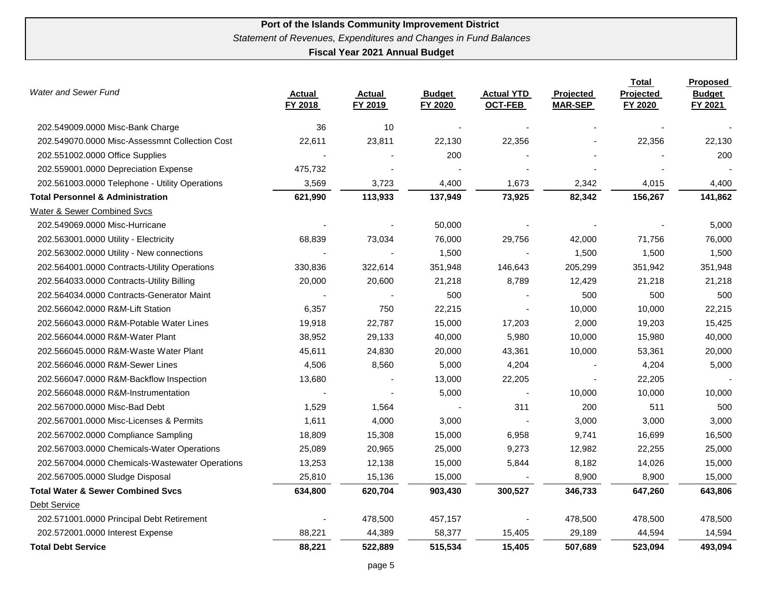| <b>Water and Sewer Fund</b>                     | <b>Actual</b><br>FY 2018 | <b>Actual</b><br>FY 2019 | <b>Budget</b><br>FY 2020 | <b>Actual YTD</b><br><b>OCT-FEB</b> | Projected<br><b>MAR-SEP</b> | <b>Total</b><br>Projected<br>FY 2020 | Proposed<br><b>Budget</b><br>FY 2021 |
|-------------------------------------------------|--------------------------|--------------------------|--------------------------|-------------------------------------|-----------------------------|--------------------------------------|--------------------------------------|
| 202.549009.0000 Misc-Bank Charge                | 36                       | 10                       |                          |                                     |                             |                                      |                                      |
| 202.549070.0000 Misc-Assessmnt Collection Cost  | 22,611                   | 23,811                   | 22,130                   | 22,356                              |                             | 22,356                               | 22,130                               |
| 202.551002.0000 Office Supplies                 |                          |                          | 200                      |                                     |                             |                                      | 200                                  |
| 202.559001.0000 Depreciation Expense            | 475,732                  |                          |                          |                                     |                             |                                      |                                      |
| 202.561003.0000 Telephone - Utility Operations  | 3,569                    | 3,723                    | 4,400                    | 1,673                               | 2,342                       | 4,015                                | 4,400                                |
| <b>Total Personnel &amp; Administration</b>     | 621,990                  | 113,933                  | 137,949                  | 73,925                              | 82,342                      | 156,267                              | 141,862                              |
| <b>Water &amp; Sewer Combined Svcs</b>          |                          |                          |                          |                                     |                             |                                      |                                      |
| 202.549069.0000 Misc-Hurricane                  |                          |                          | 50,000                   |                                     |                             |                                      | 5,000                                |
| 202.563001.0000 Utility - Electricity           | 68,839                   | 73,034                   | 76,000                   | 29,756                              | 42,000                      | 71,756                               | 76,000                               |
| 202.563002.0000 Utility - New connections       |                          |                          | 1,500                    |                                     | 1,500                       | 1,500                                | 1,500                                |
| 202.564001.0000 Contracts-Utility Operations    | 330,836                  | 322,614                  | 351,948                  | 146,643                             | 205,299                     | 351,942                              | 351,948                              |
| 202.564033.0000 Contracts-Utility Billing       | 20,000                   | 20,600                   | 21,218                   | 8,789                               | 12,429                      | 21,218                               | 21,218                               |
| 202.564034.0000 Contracts-Generator Maint       |                          |                          | 500                      |                                     | 500                         | 500                                  | 500                                  |
| 202.566042.0000 R&M-Lift Station                | 6,357                    | 750                      | 22,215                   |                                     | 10,000                      | 10,000                               | 22,215                               |
| 202.566043.0000 R&M-Potable Water Lines         | 19,918                   | 22,787                   | 15,000                   | 17,203                              | 2,000                       | 19,203                               | 15,425                               |
| 202.566044.0000 R&M-Water Plant                 | 38,952                   | 29,133                   | 40,000                   | 5,980                               | 10,000                      | 15,980                               | 40,000                               |
| 202.566045.0000 R&M-Waste Water Plant           | 45,611                   | 24,830                   | 20,000                   | 43,361                              | 10,000                      | 53,361                               | 20,000                               |
| 202.566046.0000 R&M-Sewer Lines                 | 4,506                    | 8,560                    | 5,000                    | 4,204                               |                             | 4,204                                | 5,000                                |
| 202.566047.0000 R&M-Backflow Inspection         | 13,680                   |                          | 13,000                   | 22,205                              |                             | 22,205                               |                                      |
| 202.566048.0000 R&M-Instrumentation             |                          |                          | 5,000                    |                                     | 10,000                      | 10,000                               | 10,000                               |
| 202.567000.0000 Misc-Bad Debt                   | 1,529                    | 1,564                    |                          | 311                                 | 200                         | 511                                  | 500                                  |
| 202.567001.0000 Misc-Licenses & Permits         | 1,611                    | 4,000                    | 3,000                    |                                     | 3,000                       | 3,000                                | 3,000                                |
| 202.567002.0000 Compliance Sampling             | 18,809                   | 15,308                   | 15,000                   | 6,958                               | 9,741                       | 16,699                               | 16,500                               |
| 202.567003.0000 Chemicals-Water Operations      | 25,089                   | 20,965                   | 25,000                   | 9,273                               | 12,982                      | 22,255                               | 25,000                               |
| 202.567004.0000 Chemicals-Wastewater Operations | 13,253                   | 12,138                   | 15,000                   | 5,844                               | 8,182                       | 14,026                               | 15,000                               |
| 202.567005.0000 Sludge Disposal                 | 25,810                   | 15,136                   | 15,000                   |                                     | 8,900                       | 8,900                                | 15,000                               |
| <b>Total Water &amp; Sewer Combined Svcs</b>    | 634,800                  | 620,704                  | 903,430                  | 300,527                             | 346,733                     | 647,260                              | 643,806                              |
| Debt Service                                    |                          |                          |                          |                                     |                             |                                      |                                      |
| 202.571001.0000 Principal Debt Retirement       |                          | 478,500                  | 457,157                  |                                     | 478,500                     | 478,500                              | 478,500                              |
| 202.572001.0000 Interest Expense                | 88,221                   | 44,389                   | 58,377                   | 15,405                              | 29,189                      | 44,594                               | 14,594                               |
| <b>Total Debt Service</b>                       | 88,221                   | 522,889                  | 515,534                  | 15,405                              | 507,689                     | 523,094                              | 493,094                              |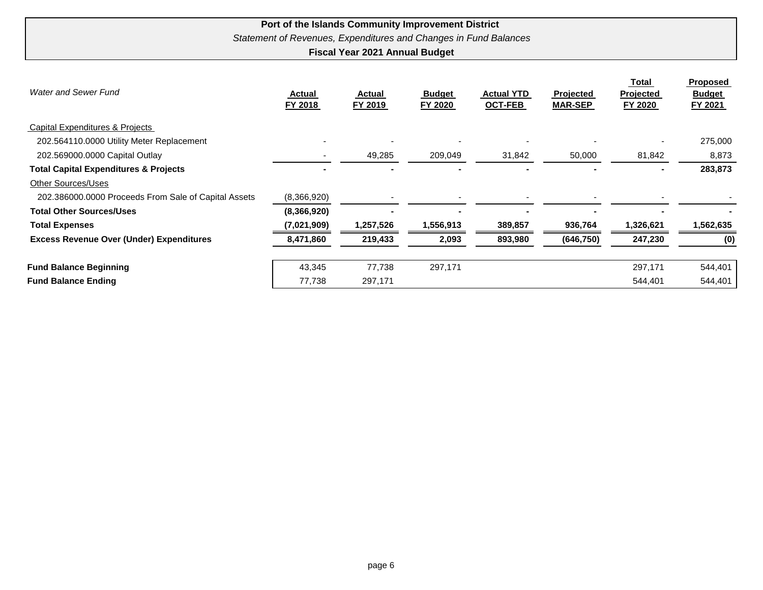| <b>Water and Sewer Fund</b>                          | <b>Actual</b><br>FY 2018 | <b>Actual</b><br>FY 2019 | <b>Budget</b><br><b>FY 2020</b> | <b>Actual YTD</b><br><b>OCT-FEB</b> | <b>Projected</b><br><b>MAR-SEP</b> | Total<br><b>Projected</b><br>FY 2020 | <b>Proposed</b><br><b>Budget</b><br>FY 2021 |
|------------------------------------------------------|--------------------------|--------------------------|---------------------------------|-------------------------------------|------------------------------------|--------------------------------------|---------------------------------------------|
| Capital Expenditures & Projects                      |                          |                          |                                 |                                     |                                    |                                      |                                             |
| 202.564110.0000 Utility Meter Replacement            |                          | $\overline{\phantom{0}}$ |                                 |                                     |                                    |                                      | 275,000                                     |
| 202.569000.0000 Capital Outlay                       |                          | 49,285                   | 209,049                         | 31,842                              | 50,000                             | 81,842                               | 8,873                                       |
| <b>Total Capital Expenditures &amp; Projects</b>     |                          |                          |                                 |                                     |                                    |                                      | 283,873                                     |
| Other Sources/Uses                                   |                          |                          |                                 |                                     |                                    |                                      |                                             |
| 202.386000.0000 Proceeds From Sale of Capital Assets | (8,366,920)              |                          |                                 |                                     |                                    |                                      |                                             |
| <b>Total Other Sources/Uses</b>                      | (8,366,920)              |                          |                                 |                                     |                                    |                                      |                                             |
| <b>Total Expenses</b>                                | (7,021,909)              | 1,257,526                | 1,556,913                       | 389,857                             | 936,764                            | 1,326,621                            | 1,562,635                                   |
| <b>Excess Revenue Over (Under) Expenditures</b>      | 8,471,860                | 219,433                  | 2,093                           | 893,980                             | (646, 750)                         | 247,230                              | (0)                                         |
| <b>Fund Balance Beginning</b>                        | 43,345                   | 77,738                   | 297,171                         |                                     |                                    | 297,171                              | 544,401                                     |
| <b>Fund Balance Ending</b>                           | 77,738                   | 297,171                  |                                 |                                     |                                    | 544,401                              | 544,401                                     |